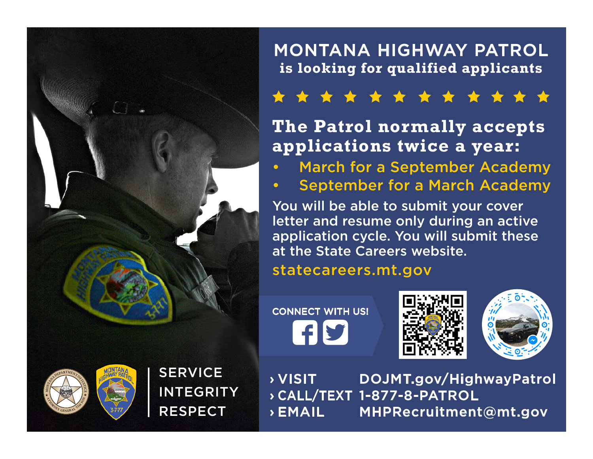

### MONTANA HIGHWAY PATROL **is looking for qualified applicants**

## \* \* \* \* \* \* \* \* \* \* \*

## **The Patrol normally accepts applications twice a year:**

- March for a September Academy
- September for a March Academy

You will be able to submit your cover letter and resume only during an active application cycle. You will submit these at the State Careers website.

#### statecareers.mt.gov

CONNECT WITH US! **HY** 







**SERVICE** INTEGRITY RESPECT

› VISIT DOJMT.gov/HighwayPatrol › CALL/TEXT 1-877-8-PATROL › EMAIL MHPRecruitment@mt.gov